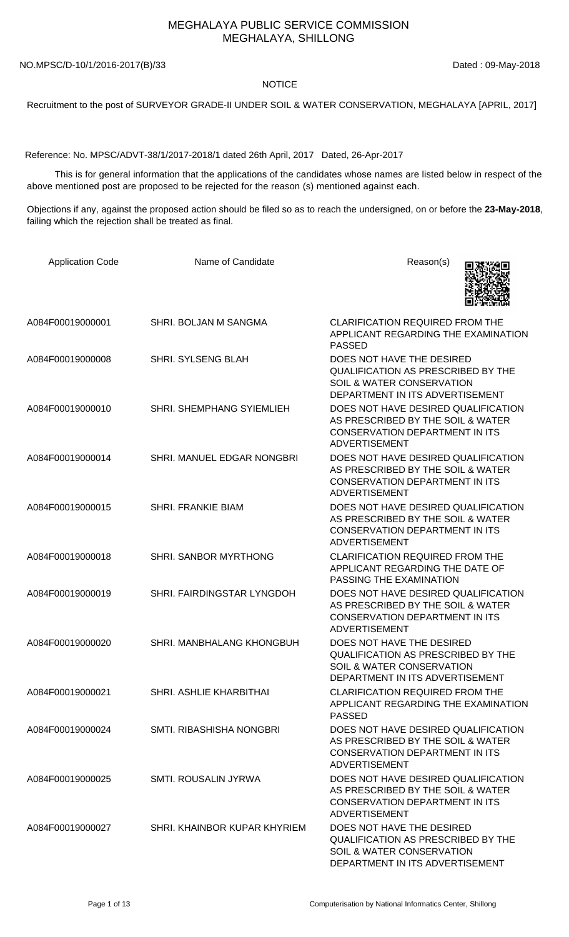## MEGHALAYA PUBLIC SERVICE COMMISSION MEGHALAYA, SHILLONG

NO.MPSC/D-10/1/2016-2017(B)/33 Dated : 09-May-2018

## **NOTICE**

Recruitment to the post of SURVEYOR GRADE-II UNDER SOIL & WATER CONSERVATION, MEGHALAYA [APRIL, 2017]

Reference: No. MPSC/ADVT-38/1/2017-2018/1 dated 26th April, 2017 Dated, 26-Apr-2017

 This is for general information that the applications of the candidates whose names are listed below in respect of the above mentioned post are proposed to be rejected for the reason (s) mentioned against each.

Objections if any, against the proposed action should be filed so as to reach the undersigned, on or before the **23-May-2018**, failing which the rejection shall be treated as final.

| <b>Application Code</b> | Name of Candidate            | Reason(s)                                                                                                                                         |
|-------------------------|------------------------------|---------------------------------------------------------------------------------------------------------------------------------------------------|
| A084F00019000001        | SHRI. BOLJAN M SANGMA        | <b>CLARIFICATION REQUIRED FROM THE</b><br>APPLICANT REGARDING THE EXAMINATION<br><b>PASSED</b>                                                    |
| A084F00019000008        | <b>SHRI. SYLSENG BLAH</b>    | DOES NOT HAVE THE DESIRED<br><b>QUALIFICATION AS PRESCRIBED BY THE</b><br><b>SOIL &amp; WATER CONSERVATION</b><br>DEPARTMENT IN ITS ADVERTISEMENT |
| A084F00019000010        | SHRI. SHEMPHANG SYIEMLIEH    | DOES NOT HAVE DESIRED QUALIFICATION<br>AS PRESCRIBED BY THE SOIL & WATER<br><b>CONSERVATION DEPARTMENT IN ITS</b><br><b>ADVERTISEMENT</b>         |
| A084F00019000014        | SHRI. MANUEL EDGAR NONGBRI   | DOES NOT HAVE DESIRED QUALIFICATION<br>AS PRESCRIBED BY THE SOIL & WATER<br><b>CONSERVATION DEPARTMENT IN ITS</b><br><b>ADVERTISEMENT</b>         |
| A084F00019000015        | <b>SHRI. FRANKIE BIAM</b>    | DOES NOT HAVE DESIRED QUALIFICATION<br>AS PRESCRIBED BY THE SOIL & WATER<br><b>CONSERVATION DEPARTMENT IN ITS</b><br><b>ADVERTISEMENT</b>         |
| A084F00019000018        | SHRI. SANBOR MYRTHONG        | <b>CLARIFICATION REQUIRED FROM THE</b><br>APPLICANT REGARDING THE DATE OF<br>PASSING THE EXAMINATION                                              |
| A084F00019000019        | SHRI. FAIRDINGSTAR LYNGDOH   | DOES NOT HAVE DESIRED QUALIFICATION<br>AS PRESCRIBED BY THE SOIL & WATER<br><b>CONSERVATION DEPARTMENT IN ITS</b><br><b>ADVERTISEMENT</b>         |
| A084F00019000020        | SHRI. MANBHALANG KHONGBUH    | DOES NOT HAVE THE DESIRED<br><b>QUALIFICATION AS PRESCRIBED BY THE</b><br>SOIL & WATER CONSERVATION<br>DEPARTMENT IN ITS ADVERTISEMENT            |
| A084F00019000021        | SHRI. ASHLIE KHARBITHAI      | <b>CLARIFICATION REQUIRED FROM THE</b><br>APPLICANT REGARDING THE EXAMINATION<br><b>PASSED</b>                                                    |
| A084F00019000024        | SMTI. RIBASHISHA NONGBRI     | DOES NOT HAVE DESIRED QUALIFICATION<br>AS PRESCRIBED BY THE SOIL & WATER<br><b>CONSERVATION DEPARTMENT IN ITS</b><br><b>ADVERTISEMENT</b>         |
| A084F00019000025        | SMTI. ROUSALIN JYRWA         | DOES NOT HAVE DESIRED QUALIFICATION<br>AS PRESCRIBED BY THE SOIL & WATER<br><b>CONSERVATION DEPARTMENT IN ITS</b><br><b>ADVERTISEMENT</b>         |
| A084F00019000027        | SHRI. KHAINBOR KUPAR KHYRIEM | DOES NOT HAVE THE DESIRED<br>QUALIFICATION AS PRESCRIBED BY THE<br>SOIL & WATER CONSERVATION<br>DEPARTMENT IN ITS ADVERTISEMENT                   |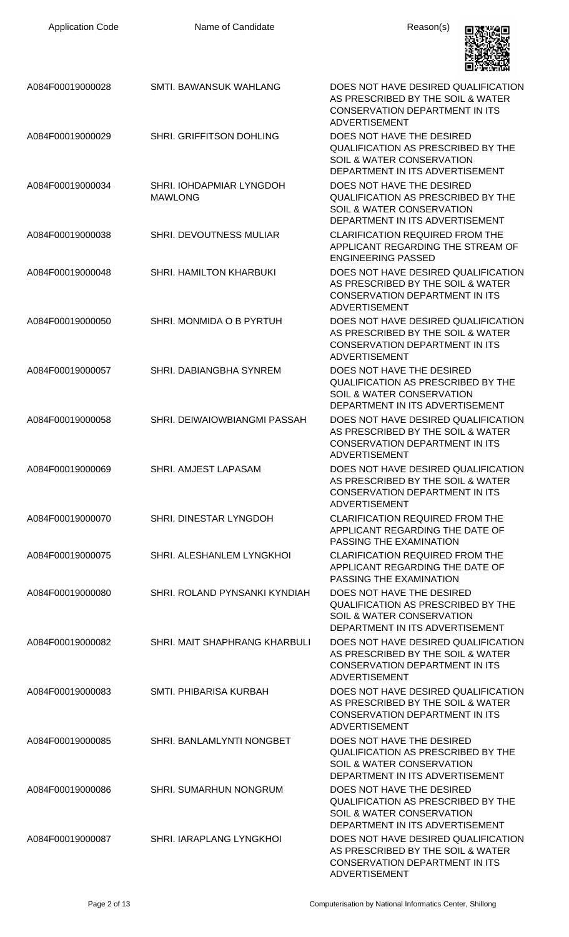| <b>Application Code</b> | Name of Candidate                          | Reason(s)                                                                                                                                         |
|-------------------------|--------------------------------------------|---------------------------------------------------------------------------------------------------------------------------------------------------|
| A084F00019000028        | SMTI. BAWANSUK WAHLANG                     | DOES NOT HAVE DESIRED QUALIFICATION<br>AS PRESCRIBED BY THE SOIL & WATER<br><b>CONSERVATION DEPARTMENT IN ITS</b><br><b>ADVERTISEMENT</b>         |
| A084F00019000029        | SHRI. GRIFFITSON DOHLING                   | DOES NOT HAVE THE DESIRED<br><b>QUALIFICATION AS PRESCRIBED BY THE</b><br>SOIL & WATER CONSERVATION<br>DEPARTMENT IN ITS ADVERTISEMENT            |
| A084F00019000034        | SHRI. IOHDAPMIAR LYNGDOH<br><b>MAWLONG</b> | DOES NOT HAVE THE DESIRED<br><b>QUALIFICATION AS PRESCRIBED BY THE</b><br><b>SOIL &amp; WATER CONSERVATION</b><br>DEPARTMENT IN ITS ADVERTISEMENT |
| A084F00019000038        | SHRI. DEVOUTNESS MULIAR                    | <b>CLARIFICATION REQUIRED FROM THE</b><br>APPLICANT REGARDING THE STREAM OF<br><b>ENGINEERING PASSED</b>                                          |
| A084F00019000048        | SHRI. HAMILTON KHARBUKI                    | DOES NOT HAVE DESIRED QUALIFICATION<br>AS PRESCRIBED BY THE SOIL & WATER<br><b>CONSERVATION DEPARTMENT IN ITS</b><br><b>ADVERTISEMENT</b>         |
| A084F00019000050        | SHRI. MONMIDA O B PYRTUH                   | DOES NOT HAVE DESIRED QUALIFICATION<br>AS PRESCRIBED BY THE SOIL & WATER<br><b>CONSERVATION DEPARTMENT IN ITS</b><br><b>ADVERTISEMENT</b>         |
| A084F00019000057        | SHRI. DABIANGBHA SYNREM                    | DOES NOT HAVE THE DESIRED<br><b>QUALIFICATION AS PRESCRIBED BY THE</b><br>SOIL & WATER CONSERVATION<br>DEPARTMENT IN ITS ADVERTISEMENT            |
| A084F00019000058        | SHRI. DEIWAIOWBIANGMI PASSAH               | DOES NOT HAVE DESIRED QUALIFICATION<br>AS PRESCRIBED BY THE SOIL & WATER<br>CONSERVATION DEPARTMENT IN ITS<br><b>ADVERTISEMENT</b>                |
| A084F00019000069        | SHRI. AMJEST LAPASAM                       | DOES NOT HAVE DESIRED QUALIFICATION<br>AS PRESCRIBED BY THE SOIL & WATER<br>CONSERVATION DEPARTMENT IN ITS<br><b>ADVERTISEMENT</b>                |
| A084F00019000070        | SHRI. DINESTAR LYNGDOH                     | <b>CLARIFICATION REQUIRED FROM THE</b><br>APPLICANT REGARDING THE DATE OF<br>PASSING THE EXAMINATION                                              |
| A084F00019000075        | SHRI. ALESHANLEM LYNGKHOI                  | <b>CLARIFICATION REQUIRED FROM THE</b><br>APPLICANT REGARDING THE DATE OF<br>PASSING THE EXAMINATION                                              |
| A084F00019000080        | SHRI. ROLAND PYNSANKI KYNDIAH              | DOES NOT HAVE THE DESIRED<br><b>QUALIFICATION AS PRESCRIBED BY THE</b><br>SOIL & WATER CONSERVATION<br>DEPARTMENT IN ITS ADVERTISEMENT            |
| A084F00019000082        | SHRI. MAIT SHAPHRANG KHARBULI              | DOES NOT HAVE DESIRED QUALIFICATION<br>AS PRESCRIBED BY THE SOIL & WATER<br><b>CONSERVATION DEPARTMENT IN ITS</b><br><b>ADVERTISEMENT</b>         |
| A084F00019000083        | SMTI. PHIBARISA KURBAH                     | DOES NOT HAVE DESIRED QUALIFICATION<br>AS PRESCRIBED BY THE SOIL & WATER<br>CONSERVATION DEPARTMENT IN ITS<br><b>ADVERTISEMENT</b>                |
| A084F00019000085        | SHRI. BANLAMLYNTI NONGBET                  | DOES NOT HAVE THE DESIRED<br><b>QUALIFICATION AS PRESCRIBED BY THE</b><br>SOIL & WATER CONSERVATION<br>DEPARTMENT IN ITS ADVERTISEMENT            |
| A084F00019000086        | SHRI. SUMARHUN NONGRUM                     | DOES NOT HAVE THE DESIRED<br><b>QUALIFICATION AS PRESCRIBED BY THE</b><br><b>SOIL &amp; WATER CONSERVATION</b><br>DEPARTMENT IN ITS ADVERTISEMENT |
| A084F00019000087        | SHRI. IARAPLANG LYNGKHOI                   | DOES NOT HAVE DESIRED QUALIFICATION<br>AS PRESCRIBED BY THE SOIL & WATER<br><b>CONSERVATION DEPARTMENT IN ITS</b><br><b>ADVERTISEMENT</b>         |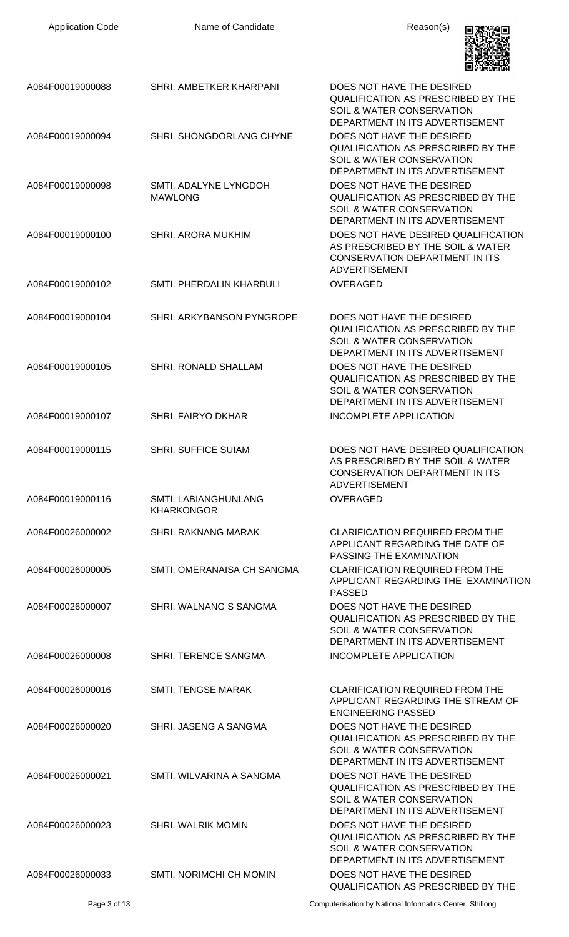| <b>Application Code</b> | Name of Candidate                                | Reason(s)                                                                                                                                         |
|-------------------------|--------------------------------------------------|---------------------------------------------------------------------------------------------------------------------------------------------------|
| A084F00019000088        | SHRI. AMBETKER KHARPANI                          | DOES NOT HAVE THE DESIRED<br>QUALIFICATION AS PRESCRIBED BY THE<br>SOIL & WATER CONSERVATION<br>DEPARTMENT IN ITS ADVERTISEMENT                   |
| A084F00019000094        | SHRI. SHONGDORLANG CHYNE                         | DOES NOT HAVE THE DESIRED<br><b>QUALIFICATION AS PRESCRIBED BY THE</b><br><b>SOIL &amp; WATER CONSERVATION</b><br>DEPARTMENT IN ITS ADVERTISEMENT |
| A084F00019000098        | SMTI. ADALYNE LYNGDOH<br><b>MAWLONG</b>          | DOES NOT HAVE THE DESIRED<br><b>QUALIFICATION AS PRESCRIBED BY THE</b><br>SOIL & WATER CONSERVATION<br>DEPARTMENT IN ITS ADVERTISEMENT            |
| A084F00019000100        | SHRI. ARORA MUKHIM                               | DOES NOT HAVE DESIRED QUALIFICATION<br>AS PRESCRIBED BY THE SOIL & WATER<br><b>CONSERVATION DEPARTMENT IN ITS</b><br><b>ADVERTISEMENT</b>         |
| A084F00019000102        | SMTI. PHERDALIN KHARBULI                         | <b>OVERAGED</b>                                                                                                                                   |
| A084F00019000104        | SHRI. ARKYBANSON PYNGROPE                        | DOES NOT HAVE THE DESIRED<br><b>QUALIFICATION AS PRESCRIBED BY THE</b><br><b>SOIL &amp; WATER CONSERVATION</b><br>DEPARTMENT IN ITS ADVERTISEMENT |
| A084F00019000105        | <b>SHRI. RONALD SHALLAM</b>                      | DOES NOT HAVE THE DESIRED<br><b>QUALIFICATION AS PRESCRIBED BY THE</b><br>SOIL & WATER CONSERVATION<br>DEPARTMENT IN ITS ADVERTISEMENT            |
| A084F00019000107        | <b>SHRI. FAIRYO DKHAR</b>                        | <b>INCOMPLETE APPLICATION</b>                                                                                                                     |
| A084F00019000115        | <b>SHRI. SUFFICE SUIAM</b>                       | DOES NOT HAVE DESIRED QUALIFICATION<br>AS PRESCRIBED BY THE SOIL & WATER<br><b>CONSERVATION DEPARTMENT IN ITS</b><br><b>ADVERTISEMENT</b>         |
| A084F00019000116        | <b>SMTI. LABIANGHUNLANG</b><br><b>KHARKONGOR</b> | <b>OVERAGED</b>                                                                                                                                   |
| A084F00026000002        | <b>SHRI, RAKNANG MARAK</b>                       | <b>CLARIFICATION REQUIRED FROM THE</b><br>APPLICANT REGARDING THE DATE OF<br>PASSING THE EXAMINATION                                              |
| A084F00026000005        | SMTI. OMERANAISA CH SANGMA                       | <b>CLARIFICATION REQUIRED FROM THE</b><br>APPLICANT REGARDING THE EXAMINATION<br><b>PASSED</b>                                                    |
| A084F00026000007        | SHRI. WALNANG S SANGMA                           | DOES NOT HAVE THE DESIRED<br><b>QUALIFICATION AS PRESCRIBED BY THE</b><br>SOIL & WATER CONSERVATION<br>DEPARTMENT IN ITS ADVERTISEMENT            |
| A084F00026000008        | SHRI. TERENCE SANGMA                             | INCOMPLETE APPLICATION                                                                                                                            |
| A084F00026000016        | SMTI. TENGSE MARAK                               | <b>CLARIFICATION REQUIRED FROM THE</b><br>APPLICANT REGARDING THE STREAM OF<br><b>ENGINEERING PASSED</b>                                          |
| A084F00026000020        | SHRI. JASENG A SANGMA                            | DOES NOT HAVE THE DESIRED<br><b>QUALIFICATION AS PRESCRIBED BY THE</b><br>SOIL & WATER CONSERVATION<br>DEPARTMENT IN ITS ADVERTISEMENT            |
| A084F00026000021        | SMTI. WILVARINA A SANGMA                         | DOES NOT HAVE THE DESIRED<br><b>QUALIFICATION AS PRESCRIBED BY THE</b><br><b>SOIL &amp; WATER CONSERVATION</b><br>DEPARTMENT IN ITS ADVERTISEMENT |
| A084F00026000023        | <b>SHRI. WALRIK MOMIN</b>                        | DOES NOT HAVE THE DESIRED<br><b>QUALIFICATION AS PRESCRIBED BY THE</b><br>SOIL & WATER CONSERVATION<br>DEPARTMENT IN ITS ADVERTISEMENT            |
| A084F00026000033        | SMTI. NORIMCHI CH MOMIN                          | DOES NOT HAVE THE DESIRED<br>QUALIFICATION AS PRESCRIBED BY THE                                                                                   |

Page 3 of 13 **Page 3 of 13** Computerisation by National Informatics Center, Shillong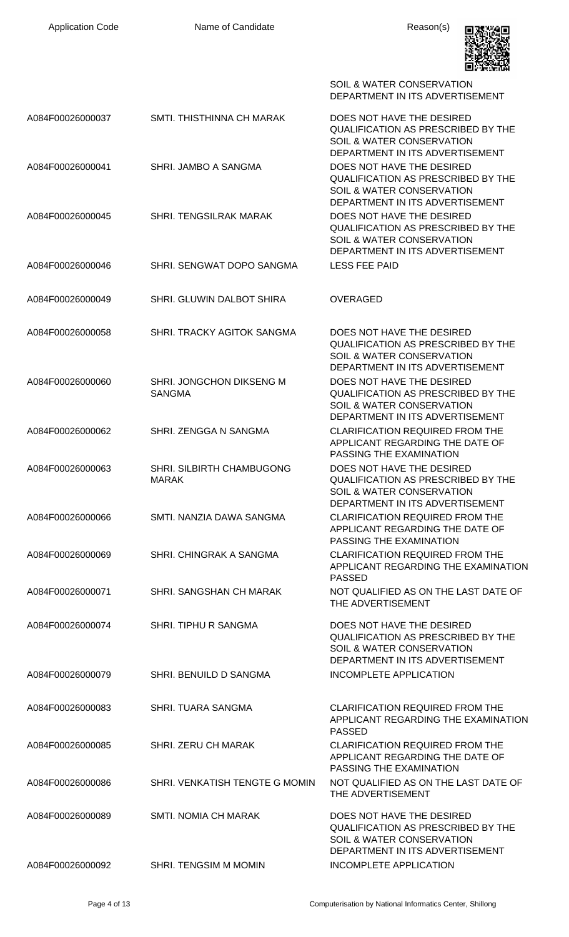

|                  |                                           | SOIL & WATER CONSERVATION<br>DEPARTMENT IN ITS ADVERTISEMENT                                                                                      |
|------------------|-------------------------------------------|---------------------------------------------------------------------------------------------------------------------------------------------------|
| A084F00026000037 | SMTI. THISTHINNA CH MARAK                 | DOES NOT HAVE THE DESIRED<br><b>QUALIFICATION AS PRESCRIBED BY THE</b><br>SOIL & WATER CONSERVATION<br>DEPARTMENT IN ITS ADVERTISEMENT            |
| A084F00026000041 | SHRI. JAMBO A SANGMA                      | DOES NOT HAVE THE DESIRED<br><b>QUALIFICATION AS PRESCRIBED BY THE</b><br>SOIL & WATER CONSERVATION<br>DEPARTMENT IN ITS ADVERTISEMENT            |
| A084F00026000045 | <b>SHRI. TENGSILRAK MARAK</b>             | DOES NOT HAVE THE DESIRED<br><b>QUALIFICATION AS PRESCRIBED BY THE</b><br><b>SOIL &amp; WATER CONSERVATION</b><br>DEPARTMENT IN ITS ADVERTISEMENT |
| A084F00026000046 | SHRI. SENGWAT DOPO SANGMA                 | <b>LESS FEE PAID</b>                                                                                                                              |
| A084F00026000049 | SHRI. GLUWIN DALBOT SHIRA                 | <b>OVERAGED</b>                                                                                                                                   |
| A084F00026000058 | SHRI. TRACKY AGITOK SANGMA                | DOES NOT HAVE THE DESIRED<br>QUALIFICATION AS PRESCRIBED BY THE<br>SOIL & WATER CONSERVATION<br>DEPARTMENT IN ITS ADVERTISEMENT                   |
| A084F00026000060 | SHRI. JONGCHON DIKSENG M<br><b>SANGMA</b> | DOES NOT HAVE THE DESIRED<br><b>QUALIFICATION AS PRESCRIBED BY THE</b><br><b>SOIL &amp; WATER CONSERVATION</b><br>DEPARTMENT IN ITS ADVERTISEMENT |
| A084F00026000062 | SHRI. ZENGGA N SANGMA                     | <b>CLARIFICATION REQUIRED FROM THE</b><br>APPLICANT REGARDING THE DATE OF<br>PASSING THE EXAMINATION                                              |
| A084F00026000063 | SHRI. SILBIRTH CHAMBUGONG<br><b>MARAK</b> | DOES NOT HAVE THE DESIRED<br><b>QUALIFICATION AS PRESCRIBED BY THE</b><br>SOIL & WATER CONSERVATION<br>DEPARTMENT IN ITS ADVERTISEMENT            |
| A084F00026000066 | SMTI. NANZIA DAWA SANGMA                  | <b>CLARIFICATION REQUIRED FROM THE</b><br>APPLICANT REGARDING THE DATE OF<br>PASSING THE EXAMINATION                                              |
| A084F00026000069 | SHRI, CHINGRAK A SANGMA                   | <b>CLARIFICATION REQUIRED FROM THE</b><br>APPLICANT REGARDING THE EXAMINATION<br><b>PASSED</b>                                                    |
| A084F00026000071 | SHRI. SANGSHAN CH MARAK                   | NOT QUALIFIED AS ON THE LAST DATE OF<br>THE ADVERTISEMENT                                                                                         |
| A084F00026000074 | SHRI. TIPHU R SANGMA                      | DOES NOT HAVE THE DESIRED<br><b>QUALIFICATION AS PRESCRIBED BY THE</b><br>SOIL & WATER CONSERVATION<br>DEPARTMENT IN ITS ADVERTISEMENT            |
| A084F00026000079 | SHRI. BENUILD D SANGMA                    | INCOMPLETE APPLICATION                                                                                                                            |
| A084F00026000083 | <b>SHRI. TUARA SANGMA</b>                 | <b>CLARIFICATION REQUIRED FROM THE</b><br>APPLICANT REGARDING THE EXAMINATION<br><b>PASSED</b>                                                    |
| A084F00026000085 | <b>SHRI. ZERU CH MARAK</b>                | <b>CLARIFICATION REQUIRED FROM THE</b><br>APPLICANT REGARDING THE DATE OF<br>PASSING THE EXAMINATION                                              |
| A084F00026000086 | SHRI. VENKATISH TENGTE G MOMIN            | NOT QUALIFIED AS ON THE LAST DATE OF<br>THE ADVERTISEMENT                                                                                         |
| A084F00026000089 | <b>SMTI. NOMIA CH MARAK</b>               | DOES NOT HAVE THE DESIRED<br><b>QUALIFICATION AS PRESCRIBED BY THE</b><br><b>SOIL &amp; WATER CONSERVATION</b><br>DEPARTMENT IN ITS ADVERTISEMENT |
| A084F00026000092 | SHRI. TENGSIM M MOMIN                     | <b>INCOMPLETE APPLICATION</b>                                                                                                                     |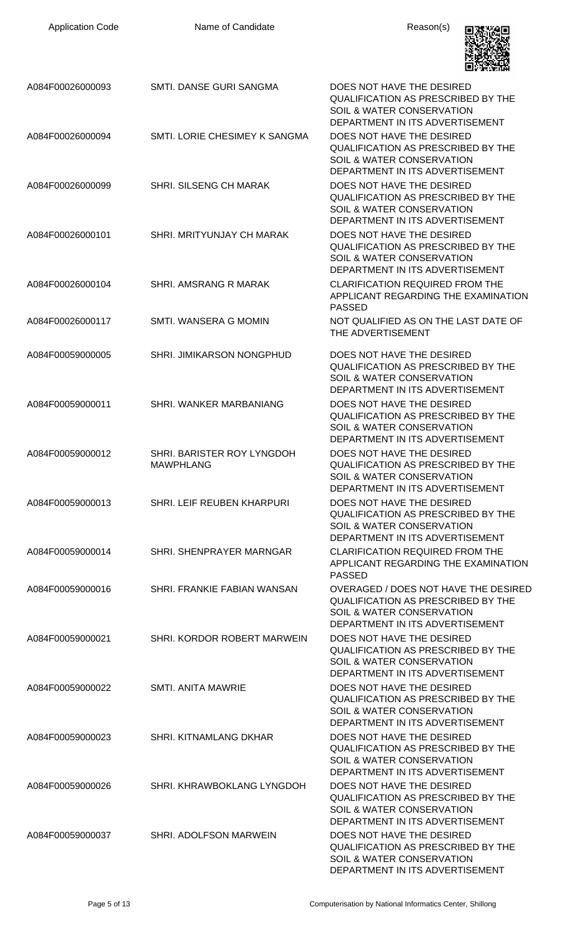| <b>Application Code</b> | Name of Candidate                              | Reason(s)                                                                                                                                         |
|-------------------------|------------------------------------------------|---------------------------------------------------------------------------------------------------------------------------------------------------|
| A084F00026000093        | SMTI. DANSE GURI SANGMA                        | DOES NOT HAVE THE DESIRED<br><b>QUALIFICATION AS PRESCRIBED BY THE</b><br>SOIL & WATER CONSERVATION<br>DEPARTMENT IN ITS ADVERTISEMENT            |
| A084F00026000094        | SMTI. LORIE CHESIMEY K SANGMA                  | DOES NOT HAVE THE DESIRED<br><b>QUALIFICATION AS PRESCRIBED BY THE</b><br>SOIL & WATER CONSERVATION<br>DEPARTMENT IN ITS ADVERTISEMENT            |
| A084F00026000099        | SHRI. SILSENG CH MARAK                         | DOES NOT HAVE THE DESIRED<br><b>QUALIFICATION AS PRESCRIBED BY THE</b><br>SOIL & WATER CONSERVATION<br>DEPARTMENT IN ITS ADVERTISEMENT            |
| A084F00026000101        | SHRI. MRITYUNJAY CH MARAK                      | DOES NOT HAVE THE DESIRED<br>QUALIFICATION AS PRESCRIBED BY THE<br><b>SOIL &amp; WATER CONSERVATION</b><br>DEPARTMENT IN ITS ADVERTISEMENT        |
| A084F00026000104        | SHRI. AMSRANG R MARAK                          | <b>CLARIFICATION REQUIRED FROM THE</b><br>APPLICANT REGARDING THE EXAMINATION<br><b>PASSED</b>                                                    |
| A084F00026000117        | SMTI. WANSERA G MOMIN                          | NOT QUALIFIED AS ON THE LAST DATE OF<br>THE ADVERTISEMENT                                                                                         |
| A084F00059000005        | SHRI. JIMIKARSON NONGPHUD                      | DOES NOT HAVE THE DESIRED<br>QUALIFICATION AS PRESCRIBED BY THE<br>SOIL & WATER CONSERVATION<br>DEPARTMENT IN ITS ADVERTISEMENT                   |
| A084F00059000011        | SHRI. WANKER MARBANIANG                        | DOES NOT HAVE THE DESIRED<br><b>QUALIFICATION AS PRESCRIBED BY THE</b><br>SOIL & WATER CONSERVATION<br>DEPARTMENT IN ITS ADVERTISEMENT            |
| A084F00059000012        | SHRI. BARISTER ROY LYNGDOH<br><b>MAWPHLANG</b> | DOES NOT HAVE THE DESIRED<br><b>QUALIFICATION AS PRESCRIBED BY THE</b><br>SOIL & WATER CONSERVATION<br>DEPARTMENT IN ITS ADVERTISEMENT            |
| A084F00059000013        | SHRI. LEIF REUBEN KHARPURI                     | DOES NOT HAVE THE DESIRED<br><b>QUALIFICATION AS PRESCRIBED BY THE</b><br>SOIL & WATER CONSERVATION<br>DEPARTMENT IN ITS ADVERTISEMENT            |
| A084F00059000014        | SHRI. SHENPRAYER MARNGAR                       | <b>CLARIFICATION REQUIRED FROM THE</b><br>APPLICANT REGARDING THE EXAMINATION<br><b>PASSED</b>                                                    |
| A084F00059000016        | SHRI. FRANKIE FABIAN WANSAN                    | OVERAGED / DOES NOT HAVE THE DESIRED<br><b>QUALIFICATION AS PRESCRIBED BY THE</b><br>SOIL & WATER CONSERVATION<br>DEPARTMENT IN ITS ADVERTISEMENT |
| A084F00059000021        | SHRI. KORDOR ROBERT MARWEIN                    | DOES NOT HAVE THE DESIRED<br><b>QUALIFICATION AS PRESCRIBED BY THE</b><br>SOIL & WATER CONSERVATION<br>DEPARTMENT IN ITS ADVERTISEMENT            |
| A084F00059000022        | <b>SMTI. ANITA MAWRIE</b>                      | DOES NOT HAVE THE DESIRED<br><b>QUALIFICATION AS PRESCRIBED BY THE</b><br><b>SOIL &amp; WATER CONSERVATION</b><br>DEPARTMENT IN ITS ADVERTISEMENT |
| A084F00059000023        | SHRI. KITNAMLANG DKHAR                         | DOES NOT HAVE THE DESIRED<br><b>QUALIFICATION AS PRESCRIBED BY THE</b><br>SOIL & WATER CONSERVATION<br>DEPARTMENT IN ITS ADVERTISEMENT            |
| A084F00059000026        | SHRI. KHRAWBOKLANG LYNGDOH                     | DOES NOT HAVE THE DESIRED<br><b>QUALIFICATION AS PRESCRIBED BY THE</b><br><b>SOIL &amp; WATER CONSERVATION</b><br>DEPARTMENT IN ITS ADVERTISEMENT |
| A084F00059000037        | SHRI. ADOLFSON MARWEIN                         | DOES NOT HAVE THE DESIRED<br><b>QUALIFICATION AS PRESCRIBED BY THE</b><br>SOIL & WATER CONSERVATION<br>DEPARTMENT IN ITS ADVERTISEMENT            |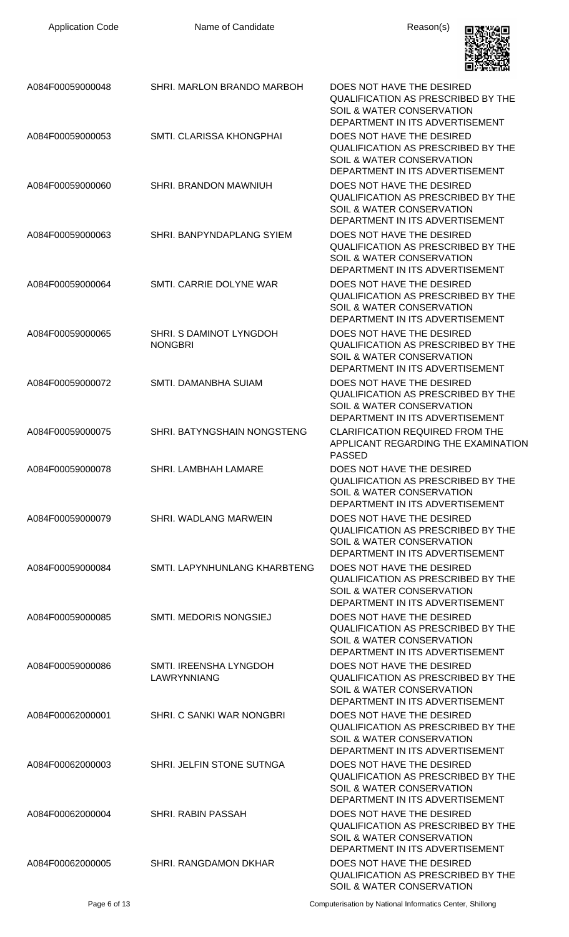| <b>Application Code</b> | Name of Candidate                         | Reason(s)                                                                                                                                         |
|-------------------------|-------------------------------------------|---------------------------------------------------------------------------------------------------------------------------------------------------|
| A084F00059000048        | SHRI. MARLON BRANDO MARBOH                | DOES NOT HAVE THE DESIRED<br>QUALIFICATION AS PRESCRIBED BY THE<br>SOIL & WATER CONSERVATION<br>DEPARTMENT IN ITS ADVERTISEMENT                   |
| A084F00059000053        | SMTI. CLARISSA KHONGPHAI                  | DOES NOT HAVE THE DESIRED<br><b>QUALIFICATION AS PRESCRIBED BY THE</b><br>SOIL & WATER CONSERVATION<br>DEPARTMENT IN ITS ADVERTISEMENT            |
| A084F00059000060        | SHRI. BRANDON MAWNIUH                     | DOES NOT HAVE THE DESIRED<br><b>QUALIFICATION AS PRESCRIBED BY THE</b><br><b>SOIL &amp; WATER CONSERVATION</b><br>DEPARTMENT IN ITS ADVERTISEMENT |
| A084F00059000063        | SHRI. BANPYNDAPLANG SYIEM                 | DOES NOT HAVE THE DESIRED<br><b>QUALIFICATION AS PRESCRIBED BY THE</b><br>SOIL & WATER CONSERVATION<br>DEPARTMENT IN ITS ADVERTISEMENT            |
| A084F00059000064        | SMTI. CARRIE DOLYNE WAR                   | DOES NOT HAVE THE DESIRED<br><b>QUALIFICATION AS PRESCRIBED BY THE</b><br>SOIL & WATER CONSERVATION<br>DEPARTMENT IN ITS ADVERTISEMENT            |
| A084F00059000065        | SHRI. S DAMINOT LYNGDOH<br><b>NONGBRI</b> | DOES NOT HAVE THE DESIRED<br><b>QUALIFICATION AS PRESCRIBED BY THE</b><br>SOIL & WATER CONSERVATION<br>DEPARTMENT IN ITS ADVERTISEMENT            |
| A084F00059000072        | SMTI. DAMANBHA SUIAM                      | DOES NOT HAVE THE DESIRED<br><b>QUALIFICATION AS PRESCRIBED BY THE</b><br>SOIL & WATER CONSERVATION<br>DEPARTMENT IN ITS ADVERTISEMENT            |
| A084F00059000075        | SHRI. BATYNGSHAIN NONGSTENG               | <b>CLARIFICATION REQUIRED FROM THE</b><br>APPLICANT REGARDING THE EXAMINATION<br><b>PASSED</b>                                                    |
| A084F00059000078        | <b>SHRI. LAMBHAH LAMARE</b>               | DOES NOT HAVE THE DESIRED<br><b>QUALIFICATION AS PRESCRIBED BY THE</b><br>SOIL & WATER CONSERVATION<br>DEPARTMENT IN ITS ADVERTISEMENT            |
| A084F00059000079        | <b>SHRI. WADLANG MARWEIN</b>              | DOES NOT HAVE THE DESIRED<br><b>QUALIFICATION AS PRESCRIBED BY THE</b><br>SOIL & WATER CONSERVATION<br>DEPARTMENT IN ITS ADVERTISEMENT            |
| A084F00059000084        | SMTI. LAPYNHUNLANG KHARBTENG              | DOES NOT HAVE THE DESIRED<br><b>QUALIFICATION AS PRESCRIBED BY THE</b><br>SOIL & WATER CONSERVATION<br>DEPARTMENT IN ITS ADVERTISEMENT            |
| A084F00059000085        | SMTI. MEDORIS NONGSIEJ                    | DOES NOT HAVE THE DESIRED<br><b>QUALIFICATION AS PRESCRIBED BY THE</b><br>SOIL & WATER CONSERVATION<br>DEPARTMENT IN ITS ADVERTISEMENT            |
| A084F00059000086        | SMTI. IREENSHA LYNGDOH<br>LAWRYNNIANG     | DOES NOT HAVE THE DESIRED<br><b>QUALIFICATION AS PRESCRIBED BY THE</b><br><b>SOIL &amp; WATER CONSERVATION</b><br>DEPARTMENT IN ITS ADVERTISEMENT |
| A084F00062000001        | SHRI. C SANKI WAR NONGBRI                 | DOES NOT HAVE THE DESIRED<br><b>QUALIFICATION AS PRESCRIBED BY THE</b><br>SOIL & WATER CONSERVATION<br>DEPARTMENT IN ITS ADVERTISEMENT            |
| A084F00062000003        | SHRI. JELFIN STONE SUTNGA                 | DOES NOT HAVE THE DESIRED<br><b>QUALIFICATION AS PRESCRIBED BY THE</b><br><b>SOIL &amp; WATER CONSERVATION</b><br>DEPARTMENT IN ITS ADVERTISEMENT |
| A084F00062000004        | <b>SHRI, RABIN PASSAH</b>                 | DOES NOT HAVE THE DESIRED<br><b>QUALIFICATION AS PRESCRIBED BY THE</b><br>SOIL & WATER CONSERVATION<br>DEPARTMENT IN ITS ADVERTISEMENT            |
| A084F00062000005        | SHRI. RANGDAMON DKHAR                     | DOES NOT HAVE THE DESIRED<br><b>QUALIFICATION AS PRESCRIBED BY THE</b><br>SOIL & WATER CONSERVATION                                               |

Page 6 of 13 **Page 6 of 13** Computerisation by National Informatics Center, Shillong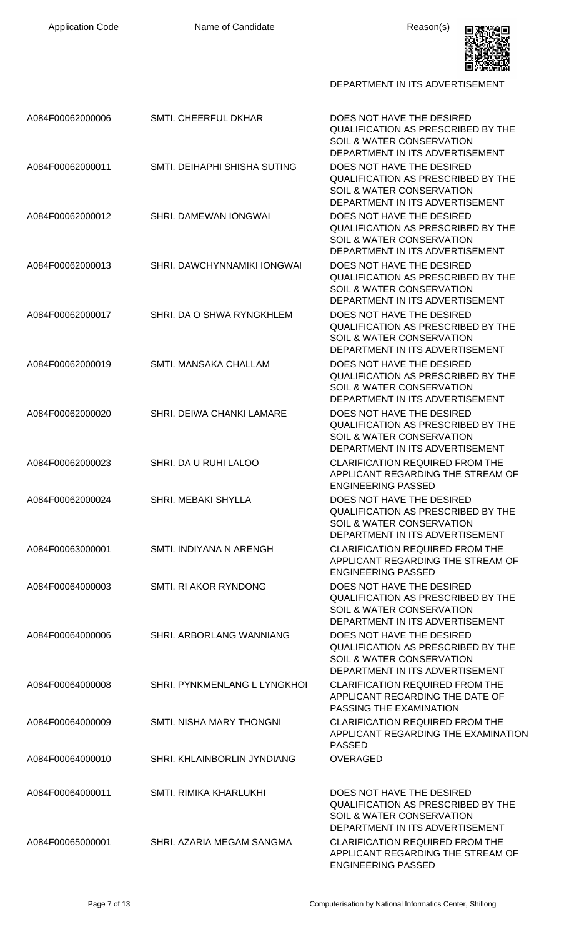

DEPARTMENT IN ITS ADVERTISEMENT

| A084F00062000006 | <b>SMTI. CHEERFUL DKHAR</b>      | DOES NOT HAVE THE DESIRED<br><b>QUALIFICATION AS PRESCRIBED BY THE</b><br><b>SOIL &amp; WATER CONSERVATION</b><br>DEPARTMENT IN ITS ADVERTISEMENT |
|------------------|----------------------------------|---------------------------------------------------------------------------------------------------------------------------------------------------|
| A084F00062000011 | SMTI. DEIHAPHI SHISHA SUTING     | DOES NOT HAVE THE DESIRED<br><b>QUALIFICATION AS PRESCRIBED BY THE</b><br>SOIL & WATER CONSERVATION<br>DEPARTMENT IN ITS ADVERTISEMENT            |
| A084F00062000012 | SHRI. DAMEWAN IONGWAI            | DOES NOT HAVE THE DESIRED<br><b>QUALIFICATION AS PRESCRIBED BY THE</b><br><b>SOIL &amp; WATER CONSERVATION</b><br>DEPARTMENT IN ITS ADVERTISEMENT |
| A084F00062000013 | SHRI. DAWCHYNNAMIKI IONGWAI      | DOES NOT HAVE THE DESIRED<br><b>QUALIFICATION AS PRESCRIBED BY THE</b><br>SOIL & WATER CONSERVATION<br>DEPARTMENT IN ITS ADVERTISEMENT            |
| A084F00062000017 | SHRI. DA O SHWA RYNGKHLEM        | DOES NOT HAVE THE DESIRED<br><b>QUALIFICATION AS PRESCRIBED BY THE</b><br>SOIL & WATER CONSERVATION<br>DEPARTMENT IN ITS ADVERTISEMENT            |
| A084F00062000019 | SMTI. MANSAKA CHALLAM            | DOES NOT HAVE THE DESIRED<br><b>QUALIFICATION AS PRESCRIBED BY THE</b><br>SOIL & WATER CONSERVATION<br>DEPARTMENT IN ITS ADVERTISEMENT            |
| A084F00062000020 | <b>SHRI. DEIWA CHANKI LAMARE</b> | DOES NOT HAVE THE DESIRED<br><b>QUALIFICATION AS PRESCRIBED BY THE</b><br><b>SOIL &amp; WATER CONSERVATION</b><br>DEPARTMENT IN ITS ADVERTISEMENT |
| A084F00062000023 | SHRI. DA U RUHI LALOO            | <b>CLARIFICATION REQUIRED FROM THE</b><br>APPLICANT REGARDING THE STREAM OF<br><b>ENGINEERING PASSED</b>                                          |
| A084F00062000024 | SHRI. MEBAKI SHYLLA              | DOES NOT HAVE THE DESIRED<br><b>QUALIFICATION AS PRESCRIBED BY THE</b><br>SOIL & WATER CONSERVATION<br>DEPARTMENT IN ITS ADVERTISEMENT            |
| A084F00063000001 | SMTI. INDIYANA N ARENGH          | <b>CLARIFICATION REQUIRED FROM THE</b><br>APPLICANT REGARDING THE STREAM OF<br><b>ENGINEERING PASSED</b>                                          |
| A084F00064000003 | SMTI. RI AKOR RYNDONG            | DOES NOT HAVE THE DESIRED<br><b>QUALIFICATION AS PRESCRIBED BY THE</b><br>SOIL & WATER CONSERVATION<br>DEPARTMENT IN ITS ADVERTISEMENT            |
| A084F00064000006 | SHRI. ARBORLANG WANNIANG         | DOES NOT HAVE THE DESIRED<br>QUALIFICATION AS PRESCRIBED BY THE<br><b>SOIL &amp; WATER CONSERVATION</b><br>DEPARTMENT IN ITS ADVERTISEMENT        |
| A084F00064000008 | SHRI. PYNKMENLANG L LYNGKHOI     | <b>CLARIFICATION REQUIRED FROM THE</b><br>APPLICANT REGARDING THE DATE OF<br>PASSING THE EXAMINATION                                              |
| A084F00064000009 | SMTI. NISHA MARY THONGNI         | <b>CLARIFICATION REQUIRED FROM THE</b><br>APPLICANT REGARDING THE EXAMINATION<br><b>PASSED</b>                                                    |
| A084F00064000010 | SHRI. KHLAINBORLIN JYNDIANG      | <b>OVERAGED</b>                                                                                                                                   |
| A084F00064000011 | SMTI. RIMIKA KHARLUKHI           | DOES NOT HAVE THE DESIRED<br>QUALIFICATION AS PRESCRIBED BY THE<br><b>SOIL &amp; WATER CONSERVATION</b><br>DEPARTMENT IN ITS ADVERTISEMENT        |
| A084F00065000001 | SHRI. AZARIA MEGAM SANGMA        | <b>CLARIFICATION REQUIRED FROM THE</b><br>APPLICANT REGARDING THE STREAM OF<br><b>ENGINEERING PASSED</b>                                          |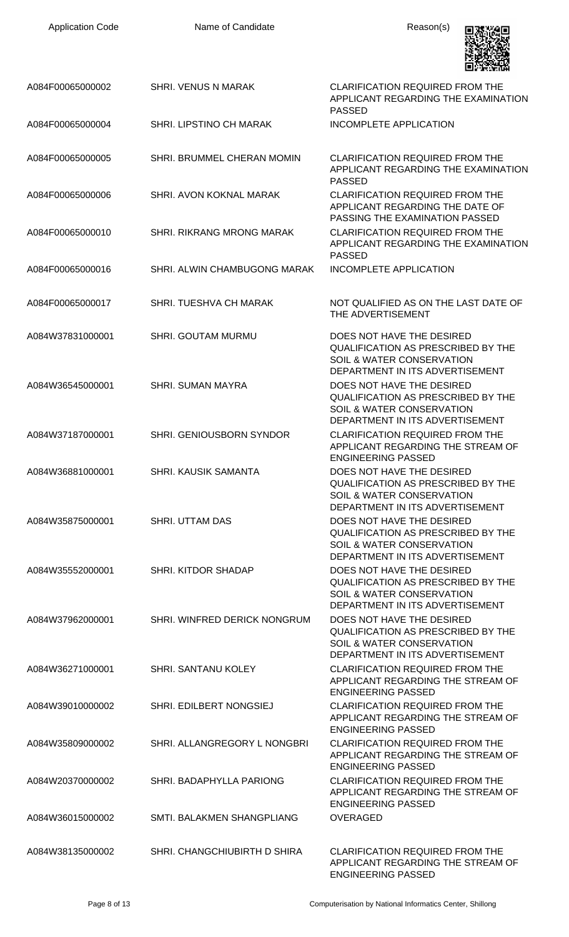| <b>Application Code</b> | Name of Candidate                | Reason(s)                                                                                                                                         |
|-------------------------|----------------------------------|---------------------------------------------------------------------------------------------------------------------------------------------------|
| A084F00065000002        | <b>SHRI. VENUS N MARAK</b>       | <b>CLARIFICATION REQUIRED FROM THE</b><br>APPLICANT REGARDING THE EXAMINATION<br><b>PASSED</b>                                                    |
| A084F00065000004        | SHRI. LIPSTINO CH MARAK          | <b>INCOMPLETE APPLICATION</b>                                                                                                                     |
| A084F00065000005        | SHRI. BRUMMEL CHERAN MOMIN       | <b>CLARIFICATION REQUIRED FROM THE</b><br>APPLICANT REGARDING THE EXAMINATION<br><b>PASSED</b>                                                    |
| A084F00065000006        | SHRI. AVON KOKNAL MARAK          | <b>CLARIFICATION REQUIRED FROM THE</b><br>APPLICANT REGARDING THE DATE OF<br>PASSING THE EXAMINATION PASSED                                       |
| A084F00065000010        | <b>SHRI. RIKRANG MRONG MARAK</b> | <b>CLARIFICATION REQUIRED FROM THE</b><br>APPLICANT REGARDING THE EXAMINATION<br><b>PASSED</b>                                                    |
| A084F00065000016        | SHRI. ALWIN CHAMBUGONG MARAK     | INCOMPLETE APPLICATION                                                                                                                            |
| A084F00065000017        | SHRI. TUESHVA CH MARAK           | NOT QUALIFIED AS ON THE LAST DATE OF<br>THE ADVERTISEMENT                                                                                         |
| A084W37831000001        | SHRI. GOUTAM MURMU               | DOES NOT HAVE THE DESIRED<br><b>QUALIFICATION AS PRESCRIBED BY THE</b><br>SOIL & WATER CONSERVATION<br>DEPARTMENT IN ITS ADVERTISEMENT            |
| A084W36545000001        | <b>SHRI. SUMAN MAYRA</b>         | DOES NOT HAVE THE DESIRED<br><b>QUALIFICATION AS PRESCRIBED BY THE</b><br>SOIL & WATER CONSERVATION<br>DEPARTMENT IN ITS ADVERTISEMENT            |
| A084W37187000001        | SHRI. GENIOUSBORN SYNDOR         | <b>CLARIFICATION REQUIRED FROM THE</b><br>APPLICANT REGARDING THE STREAM OF<br><b>ENGINEERING PASSED</b>                                          |
| A084W36881000001        | <b>SHRI, KAUSIK SAMANTA</b>      | DOES NOT HAVE THE DESIRED<br><b>QUALIFICATION AS PRESCRIBED BY THE</b><br>SOIL & WATER CONSERVATION<br>DEPARTMENT IN ITS ADVERTISEMENT            |
| A084W35875000001        | SHRI. UTTAM DAS                  | DOES NOT HAVE THE DESIRED<br><b>QUALIFICATION AS PRESCRIBED BY THE</b><br><b>SOIL &amp; WATER CONSERVATION</b><br>DEPARTMENT IN ITS ADVERTISEMENT |
| A084W35552000001        | SHRI. KITDOR SHADAP              | DOES NOT HAVE THE DESIRED<br><b>QUALIFICATION AS PRESCRIBED BY THE</b><br><b>SOIL &amp; WATER CONSERVATION</b><br>DEPARTMENT IN ITS ADVERTISEMENT |
| A084W37962000001        | SHRI. WINFRED DERICK NONGRUM     | DOES NOT HAVE THE DESIRED<br><b>QUALIFICATION AS PRESCRIBED BY THE</b><br><b>SOIL &amp; WATER CONSERVATION</b><br>DEPARTMENT IN ITS ADVERTISEMENT |
| A084W36271000001        | <b>SHRI. SANTANU KOLEY</b>       | <b>CLARIFICATION REQUIRED FROM THE</b><br>APPLICANT REGARDING THE STREAM OF<br><b>ENGINEERING PASSED</b>                                          |
| A084W39010000002        | SHRI. EDILBERT NONGSIEJ          | <b>CLARIFICATION REQUIRED FROM THE</b><br>APPLICANT REGARDING THE STREAM OF<br><b>ENGINEERING PASSED</b>                                          |
| A084W35809000002        | SHRI. ALLANGREGORY L NONGBRI     | <b>CLARIFICATION REQUIRED FROM THE</b><br>APPLICANT REGARDING THE STREAM OF<br><b>ENGINEERING PASSED</b>                                          |
| A084W20370000002        | SHRI. BADAPHYLLA PARIONG         | <b>CLARIFICATION REQUIRED FROM THE</b><br>APPLICANT REGARDING THE STREAM OF<br><b>ENGINEERING PASSED</b>                                          |
| A084W36015000002        | SMTI. BALAKMEN SHANGPLIANG       | <b>OVERAGED</b>                                                                                                                                   |
| A084W38135000002        | SHRI. CHANGCHIUBIRTH D SHIRA     | <b>CLARIFICATION REQUIRED FROM THE</b><br>APPLICANT REGARDING THE STREAM OF<br><b>ENGINEERING PASSED</b>                                          |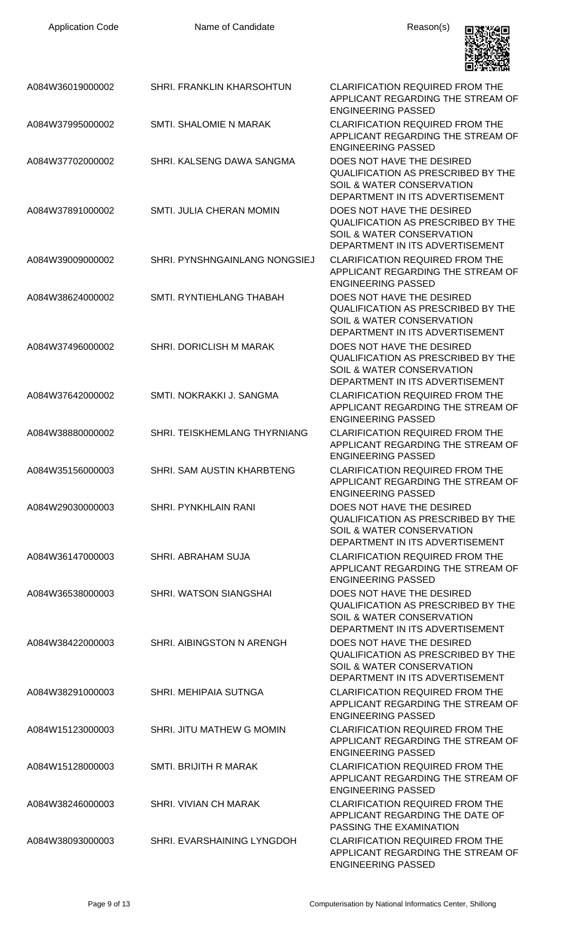| <b>Application Code</b> | Name of Candidate                    | Reason(s)                                                                                                                                         |
|-------------------------|--------------------------------------|---------------------------------------------------------------------------------------------------------------------------------------------------|
| A084W36019000002        | SHRI. FRANKLIN KHARSOHTUN            | CLARIFICATION REQUIRED FROM THE<br>APPLICANT REGARDING THE STREAM OF<br><b>ENGINEERING PASSED</b>                                                 |
| A084W37995000002        | <b>SMTI. SHALOMIE N MARAK</b>        | <b>CLARIFICATION REQUIRED FROM THE</b><br>APPLICANT REGARDING THE STREAM OF<br><b>ENGINEERING PASSED</b>                                          |
| A084W37702000002        | SHRI. KALSENG DAWA SANGMA            | DOES NOT HAVE THE DESIRED<br><b>QUALIFICATION AS PRESCRIBED BY THE</b><br>SOIL & WATER CONSERVATION<br>DEPARTMENT IN ITS ADVERTISEMENT            |
| A084W37891000002        | <b>SMTI, JULIA CHERAN MOMIN</b>      | DOES NOT HAVE THE DESIRED<br><b>QUALIFICATION AS PRESCRIBED BY THE</b><br>SOIL & WATER CONSERVATION<br>DEPARTMENT IN ITS ADVERTISEMENT            |
| A084W39009000002        | <b>SHRI. PYNSHNGAINLANG NONGSIEJ</b> | <b>CLARIFICATION REQUIRED FROM THE</b><br>APPLICANT REGARDING THE STREAM OF<br><b>ENGINEERING PASSED</b>                                          |
| A084W38624000002        | SMTI. RYNTIEHLANG THABAH             | DOES NOT HAVE THE DESIRED<br><b>QUALIFICATION AS PRESCRIBED BY THE</b><br>SOIL & WATER CONSERVATION<br>DEPARTMENT IN ITS ADVERTISEMENT            |
| A084W37496000002        | SHRI. DORICLISH M MARAK              | DOES NOT HAVE THE DESIRED<br><b>QUALIFICATION AS PRESCRIBED BY THE</b><br>SOIL & WATER CONSERVATION<br>DEPARTMENT IN ITS ADVERTISEMENT            |
| A084W37642000002        | SMTI. NOKRAKKI J. SANGMA             | <b>CLARIFICATION REQUIRED FROM THE</b><br>APPLICANT REGARDING THE STREAM OF<br><b>ENGINEERING PASSED</b>                                          |
| A084W38880000002        | SHRI. TEISKHEMLANG THYRNIANG         | CLARIFICATION REQUIRED FROM THE<br>APPLICANT REGARDING THE STREAM OF<br><b>ENGINEERING PASSED</b>                                                 |
| A084W35156000003        | SHRI. SAM AUSTIN KHARBTENG           | <b>CLARIFICATION REQUIRED FROM THE</b><br>APPLICANT REGARDING THE STREAM OF<br><b>ENGINEERING PASSED</b>                                          |
| A084W29030000003        | <b>SHRI. PYNKHLAIN RANI</b>          | DOES NOT HAVE THE DESIRED<br><b>QUALIFICATION AS PRESCRIBED BY THE</b><br><b>SOIL &amp; WATER CONSERVATION</b><br>DEPARTMENT IN ITS ADVERTISEMENT |
| A084W36147000003        | SHRI. ABRAHAM SUJA                   | <b>CLARIFICATION REQUIRED FROM THE</b><br>APPLICANT REGARDING THE STREAM OF<br><b>ENGINEERING PASSED</b>                                          |
| A084W36538000003        | SHRI. WATSON SIANGSHAI               | DOES NOT HAVE THE DESIRED<br>QUALIFICATION AS PRESCRIBED BY THE<br>SOIL & WATER CONSERVATION<br>DEPARTMENT IN ITS ADVERTISEMENT                   |
| A084W38422000003        | SHRI. AIBINGSTON N ARENGH            | DOES NOT HAVE THE DESIRED<br><b>QUALIFICATION AS PRESCRIBED BY THE</b><br>SOIL & WATER CONSERVATION<br>DEPARTMENT IN ITS ADVERTISEMENT            |
| A084W38291000003        | SHRI. MEHIPAIA SUTNGA                | <b>CLARIFICATION REQUIRED FROM THE</b><br>APPLICANT REGARDING THE STREAM OF<br><b>ENGINEERING PASSED</b>                                          |
| A084W15123000003        | SHRI. JITU MATHEW G MOMIN            | <b>CLARIFICATION REQUIRED FROM THE</b><br>APPLICANT REGARDING THE STREAM OF<br><b>ENGINEERING PASSED</b>                                          |
| A084W15128000003        | SMTI. BRIJITH R MARAK                | <b>CLARIFICATION REQUIRED FROM THE</b><br>APPLICANT REGARDING THE STREAM OF<br><b>ENGINEERING PASSED</b>                                          |
| A084W38246000003        | SHRI. VIVIAN CH MARAK                | <b>CLARIFICATION REQUIRED FROM THE</b><br>APPLICANT REGARDING THE DATE OF<br>PASSING THE EXAMINATION                                              |
| A084W38093000003        | SHRI. EVARSHAINING LYNGDOH           | <b>CLARIFICATION REQUIRED FROM THE</b><br>APPLICANT REGARDING THE STREAM OF<br><b>ENGINEERING PASSED</b>                                          |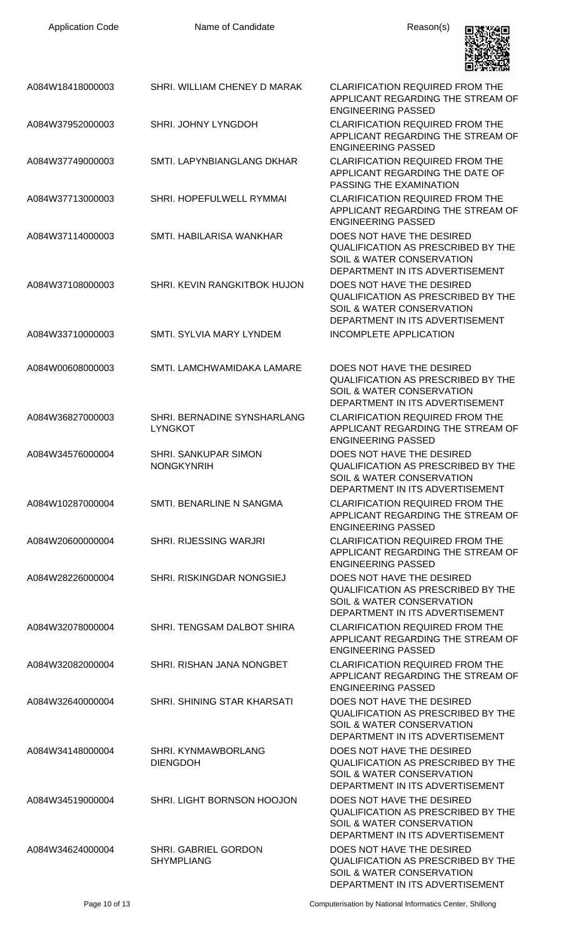| <b>Application Code</b> | Name of Candidate                                | Reason(s)                                                                                                                                         |
|-------------------------|--------------------------------------------------|---------------------------------------------------------------------------------------------------------------------------------------------------|
| A084W18418000003        | SHRI. WILLIAM CHENEY D MARAK                     | <b>CLARIFICATION REQUIRED FROM THE</b><br>APPLICANT REGARDING THE STREAM OF<br><b>ENGINEERING PASSED</b>                                          |
| A084W37952000003        | SHRI. JOHNY LYNGDOH                              | <b>CLARIFICATION REQUIRED FROM THE</b><br>APPLICANT REGARDING THE STREAM OF<br><b>ENGINEERING PASSED</b>                                          |
| A084W37749000003        | SMTI. LAPYNBIANGLANG DKHAR                       | <b>CLARIFICATION REQUIRED FROM THE</b><br>APPLICANT REGARDING THE DATE OF<br>PASSING THE EXAMINATION                                              |
| A084W37713000003        | SHRI. HOPEFULWELL RYMMAI                         | <b>CLARIFICATION REQUIRED FROM THE</b><br>APPLICANT REGARDING THE STREAM OF<br><b>ENGINEERING PASSED</b>                                          |
| A084W37114000003        | SMTI. HABILARISA WANKHAR                         | DOES NOT HAVE THE DESIRED<br><b>QUALIFICATION AS PRESCRIBED BY THE</b><br>SOIL & WATER CONSERVATION<br>DEPARTMENT IN ITS ADVERTISEMENT            |
| A084W37108000003        | SHRI. KEVIN RANGKITBOK HUJON                     | DOES NOT HAVE THE DESIRED<br><b>QUALIFICATION AS PRESCRIBED BY THE</b><br><b>SOIL &amp; WATER CONSERVATION</b><br>DEPARTMENT IN ITS ADVERTISEMENT |
| A084W33710000003        | <b>SMTI. SYLVIA MARY LYNDEM</b>                  | <b>INCOMPLETE APPLICATION</b>                                                                                                                     |
| A084W00608000003        | SMTI. LAMCHWAMIDAKA LAMARE                       | DOES NOT HAVE THE DESIRED<br><b>QUALIFICATION AS PRESCRIBED BY THE</b><br><b>SOIL &amp; WATER CONSERVATION</b><br>DEPARTMENT IN ITS ADVERTISEMENT |
| A084W36827000003        | SHRI. BERNADINE SYNSHARLANG<br><b>LYNGKOT</b>    | <b>CLARIFICATION REQUIRED FROM THE</b><br>APPLICANT REGARDING THE STREAM OF<br><b>ENGINEERING PASSED</b>                                          |
| A084W34576000004        | <b>SHRI. SANKUPAR SIMON</b><br><b>NONGKYNRIH</b> | DOES NOT HAVE THE DESIRED<br><b>QUALIFICATION AS PRESCRIBED BY THE</b><br>SOIL & WATER CONSERVATION<br>DEPARTMENT IN ITS ADVERTISEMENT            |
| A084W10287000004        | SMTI. BENARLINE N SANGMA                         | <b>CLARIFICATION REQUIRED FROM THE</b><br>APPLICANT REGARDING THE STREAM OF<br><b>ENGINEERING PASSED</b>                                          |
| A084W20600000004        | SHRI. RIJESSING WARJRI                           | <b>CLARIFICATION REQUIRED FROM THE</b><br>APPLICANT REGARDING THE STREAM OF<br><b>ENGINEERING PASSED</b>                                          |
| A084W28226000004        | SHRI. RISKINGDAR NONGSIEJ                        | DOES NOT HAVE THE DESIRED<br><b>QUALIFICATION AS PRESCRIBED BY THE</b><br>SOIL & WATER CONSERVATION<br>DEPARTMENT IN ITS ADVERTISEMENT            |
| A084W32078000004        | SHRI. TENGSAM DALBOT SHIRA                       | <b>CLARIFICATION REQUIRED FROM THE</b><br>APPLICANT REGARDING THE STREAM OF<br><b>ENGINEERING PASSED</b>                                          |
| A084W32082000004        | SHRI. RISHAN JANA NONGBET                        | <b>CLARIFICATION REQUIRED FROM THE</b><br>APPLICANT REGARDING THE STREAM OF<br><b>ENGINEERING PASSED</b>                                          |
| A084W32640000004        | SHRI. SHINING STAR KHARSATI                      | DOES NOT HAVE THE DESIRED<br><b>QUALIFICATION AS PRESCRIBED BY THE</b><br>SOIL & WATER CONSERVATION<br>DEPARTMENT IN ITS ADVERTISEMENT            |
| A084W34148000004        | SHRI. KYNMAWBORLANG<br><b>DIENGDOH</b>           | DOES NOT HAVE THE DESIRED<br><b>QUALIFICATION AS PRESCRIBED BY THE</b><br><b>SOIL &amp; WATER CONSERVATION</b><br>DEPARTMENT IN ITS ADVERTISEMENT |
| A084W34519000004        | SHRI. LIGHT BORNSON HOOJON                       | DOES NOT HAVE THE DESIRED<br><b>QUALIFICATION AS PRESCRIBED BY THE</b><br><b>SOIL &amp; WATER CONSERVATION</b><br>DEPARTMENT IN ITS ADVERTISEMENT |
| A084W34624000004        | SHRI. GABRIEL GORDON<br><b>SHYMPLIANG</b>        | DOES NOT HAVE THE DESIRED<br><b>QUALIFICATION AS PRESCRIBED BY THE</b><br>SOIL & WATER CONSERVATION<br>DEPARTMENT IN ITS ADVERTISEMENT            |

Page 10 of 13 Computerisation by National Informatics Center, Shillong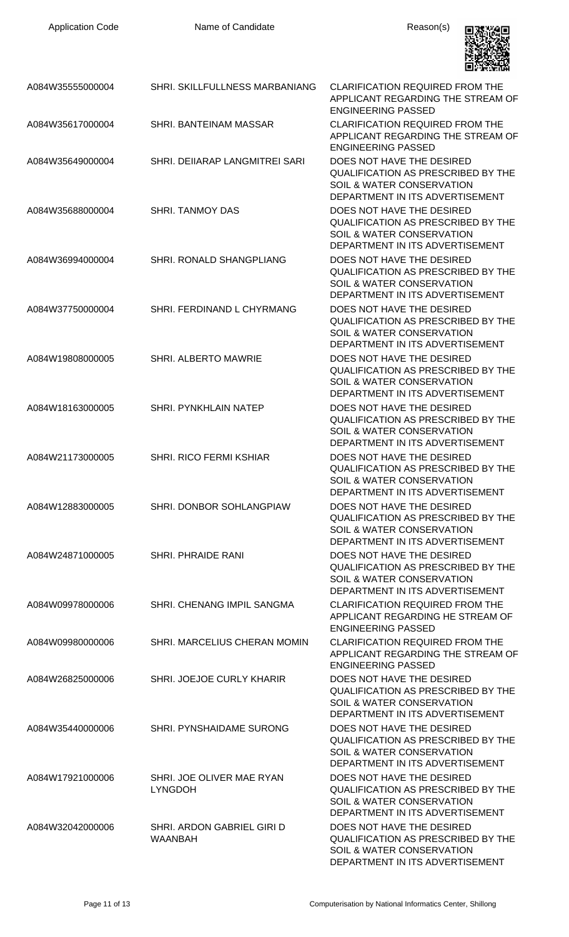| <b>Application Code</b> | Name of Candidate                            | Reason(s)                                                                                                                                                                 |
|-------------------------|----------------------------------------------|---------------------------------------------------------------------------------------------------------------------------------------------------------------------------|
| A084W35555000004        | <b>SHRI. SKILLFULLNESS MARBANIANG</b>        | CLARIFICATION REQUIRED FROM THE<br>APPLICANT REGARDING THE STREAM OF<br><b>ENGINEERING PASSED</b>                                                                         |
| A084W35617000004        | SHRI. BANTEINAM MASSAR                       | <b>CLARIFICATION REQUIRED FROM THE</b><br>APPLICANT REGARDING THE STREAM OF<br><b>ENGINEERING PASSED</b>                                                                  |
| A084W35649000004        | SHRI. DEIIARAP LANGMITREI SARI               | DOES NOT HAVE THE DESIRED<br><b>QUALIFICATION AS PRESCRIBED BY THE</b><br>SOIL & WATER CONSERVATION                                                                       |
| A084W35688000004        | <b>SHRI. TANMOY DAS</b>                      | DEPARTMENT IN ITS ADVERTISEMENT<br>DOES NOT HAVE THE DESIRED<br><b>QUALIFICATION AS PRESCRIBED BY THE</b><br>SOIL & WATER CONSERVATION<br>DEPARTMENT IN ITS ADVERTISEMENT |
| A084W36994000004        | SHRI. RONALD SHANGPLIANG                     | DOES NOT HAVE THE DESIRED<br><b>QUALIFICATION AS PRESCRIBED BY THE</b><br>SOIL & WATER CONSERVATION<br>DEPARTMENT IN ITS ADVERTISEMENT                                    |
| A084W37750000004        | SHRI. FERDINAND L CHYRMANG                   | DOES NOT HAVE THE DESIRED<br><b>QUALIFICATION AS PRESCRIBED BY THE</b><br>SOIL & WATER CONSERVATION<br>DEPARTMENT IN ITS ADVERTISEMENT                                    |
| A084W19808000005        | SHRI. ALBERTO MAWRIE                         | DOES NOT HAVE THE DESIRED<br><b>QUALIFICATION AS PRESCRIBED BY THE</b><br>SOIL & WATER CONSERVATION<br>DEPARTMENT IN ITS ADVERTISEMENT                                    |
| A084W18163000005        | SHRI. PYNKHLAIN NATEP                        | DOES NOT HAVE THE DESIRED<br><b>QUALIFICATION AS PRESCRIBED BY THE</b><br>SOIL & WATER CONSERVATION<br>DEPARTMENT IN ITS ADVERTISEMENT                                    |
| A084W21173000005        | <b>SHRI. RICO FERMI KSHIAR</b>               | DOES NOT HAVE THE DESIRED<br><b>QUALIFICATION AS PRESCRIBED BY THE</b><br><b>SOIL &amp; WATER CONSERVATION</b><br>DEPARTMENT IN ITS ADVERTISEMENT                         |
| A084W12883000005        | SHRI. DONBOR SOHLANGPIAW                     | DOES NOT HAVE THE DESIRED<br><b>QUALIFICATION AS PRESCRIBED BY THE</b><br><b>SOIL &amp; WATER CONSERVATION</b><br>DEPARTMENT IN ITS ADVERTISEMENT                         |
| A084W24871000005        | <b>SHRI. PHRAIDE RANI</b>                    | DOES NOT HAVE THE DESIRED<br><b>QUALIFICATION AS PRESCRIBED BY THE</b><br>SOIL & WATER CONSERVATION<br>DEPARTMENT IN ITS ADVERTISEMENT                                    |
| A084W09978000006        | SHRI. CHENANG IMPIL SANGMA                   | <b>CLARIFICATION REQUIRED FROM THE</b><br>APPLICANT REGARDING HE STREAM OF<br><b>ENGINEERING PASSED</b>                                                                   |
| A084W09980000006        | SHRI. MARCELIUS CHERAN MOMIN                 | <b>CLARIFICATION REQUIRED FROM THE</b><br>APPLICANT REGARDING THE STREAM OF<br><b>ENGINEERING PASSED</b>                                                                  |
| A084W26825000006        | SHRI. JOEJOE CURLY KHARIR                    | DOES NOT HAVE THE DESIRED<br><b>QUALIFICATION AS PRESCRIBED BY THE</b><br>SOIL & WATER CONSERVATION<br>DEPARTMENT IN ITS ADVERTISEMENT                                    |
| A084W35440000006        | SHRI. PYNSHAIDAME SURONG                     | DOES NOT HAVE THE DESIRED<br><b>QUALIFICATION AS PRESCRIBED BY THE</b><br><b>SOIL &amp; WATER CONSERVATION</b><br>DEPARTMENT IN ITS ADVERTISEMENT                         |
| A084W17921000006        | SHRI. JOE OLIVER MAE RYAN<br><b>LYNGDOH</b>  | DOES NOT HAVE THE DESIRED<br><b>QUALIFICATION AS PRESCRIBED BY THE</b><br><b>SOIL &amp; WATER CONSERVATION</b><br>DEPARTMENT IN ITS ADVERTISEMENT                         |
| A084W32042000006        | SHRI. ARDON GABRIEL GIRI D<br><b>WAANBAH</b> | DOES NOT HAVE THE DESIRED<br><b>QUALIFICATION AS PRESCRIBED BY THE</b><br>SOIL & WATER CONSERVATION<br>DEPARTMENT IN ITS ADVERTISEMENT                                    |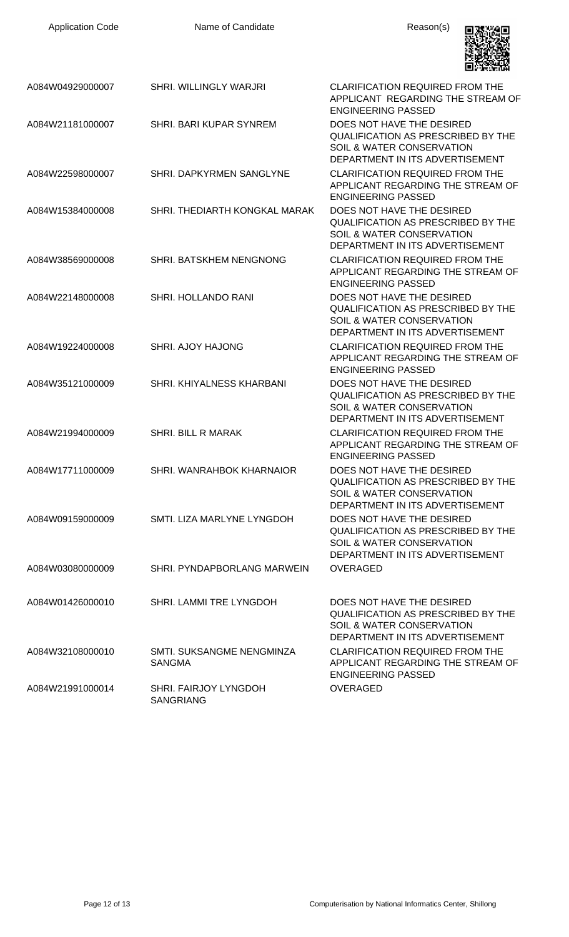| <b>Application Code</b> | Name of Candidate                          | Reason(s)                                                                                                                                  |
|-------------------------|--------------------------------------------|--------------------------------------------------------------------------------------------------------------------------------------------|
| A084W04929000007        | <b>SHRI. WILLINGLY WARJRI</b>              | <b>CLARIFICATION REQUIRED FROM THE</b><br>APPLICANT REGARDING THE STREAM OF<br><b>ENGINEERING PASSED</b>                                   |
| A084W21181000007        | SHRI, BARI KUPAR SYNREM                    | DOES NOT HAVE THE DESIRED<br><b>QUALIFICATION AS PRESCRIBED BY THE</b><br>SOIL & WATER CONSERVATION<br>DEPARTMENT IN ITS ADVERTISEMENT     |
| A084W22598000007        | SHRI. DAPKYRMEN SANGLYNE                   | <b>CLARIFICATION REQUIRED FROM THE</b><br>APPLICANT REGARDING THE STREAM OF<br><b>ENGINEERING PASSED</b>                                   |
| A084W15384000008        | SHRI. THEDIARTH KONGKAL MARAK              | DOES NOT HAVE THE DESIRED<br><b>QUALIFICATION AS PRESCRIBED BY THE</b><br>SOIL & WATER CONSERVATION<br>DEPARTMENT IN ITS ADVERTISEMENT     |
| A084W38569000008        | <b>SHRI. BATSKHEM NENGNONG</b>             | <b>CLARIFICATION REQUIRED FROM THE</b><br>APPLICANT REGARDING THE STREAM OF<br><b>ENGINEERING PASSED</b>                                   |
| A084W22148000008        | <b>SHRI. HOLLANDO RANI</b>                 | DOES NOT HAVE THE DESIRED<br><b>QUALIFICATION AS PRESCRIBED BY THE</b><br>SOIL & WATER CONSERVATION<br>DEPARTMENT IN ITS ADVERTISEMENT     |
| A084W19224000008        | <b>SHRI. AJOY HAJONG</b>                   | <b>CLARIFICATION REQUIRED FROM THE</b><br>APPLICANT REGARDING THE STREAM OF<br><b>ENGINEERING PASSED</b>                                   |
| A084W35121000009        | SHRI. KHIYALNESS KHARBANI                  | DOES NOT HAVE THE DESIRED<br>QUALIFICATION AS PRESCRIBED BY THE<br>SOIL & WATER CONSERVATION<br>DEPARTMENT IN ITS ADVERTISEMENT            |
| A084W21994000009        | <b>SHRI. BILL R MARAK</b>                  | <b>CLARIFICATION REQUIRED FROM THE</b><br>APPLICANT REGARDING THE STREAM OF<br><b>ENGINEERING PASSED</b>                                   |
| A084W17711000009        | SHRI. WANRAHBOK KHARNAIOR                  | DOES NOT HAVE THE DESIRED<br>QUALIFICATION AS PRESCRIBED BY THE<br><b>SOIL &amp; WATER CONSERVATION</b><br>DEPARTMENT IN ITS ADVERTISEMENT |
| A084W09159000009        | SMTI. LIZA MARLYNE LYNGDOH                 | DOES NOT HAVE THE DESIRED<br>QUALIFICATION AS PRESCRIBED BY THE<br>SOIL & WATER CONSERVATION<br>DEPARTMENT IN ITS ADVERTISEMENT            |
| A084W03080000009        | SHRI. PYNDAPBORLANG MARWEIN                | <b>OVERAGED</b>                                                                                                                            |
| A084W01426000010        | SHRI. LAMMI TRE LYNGDOH                    | DOES NOT HAVE THE DESIRED<br>QUALIFICATION AS PRESCRIBED BY THE<br>SOIL & WATER CONSERVATION<br>DEPARTMENT IN ITS ADVERTISEMENT            |
| A084W32108000010        | SMTI. SUKSANGME NENGMINZA<br><b>SANGMA</b> | <b>CLARIFICATION REQUIRED FROM THE</b><br>APPLICANT REGARDING THE STREAM OF<br><b>ENGINEERING PASSED</b>                                   |
| A084W21991000014        | SHRI. FAIRJOY LYNGDOH<br><b>SANGRIANG</b>  | <b>OVERAGED</b>                                                                                                                            |